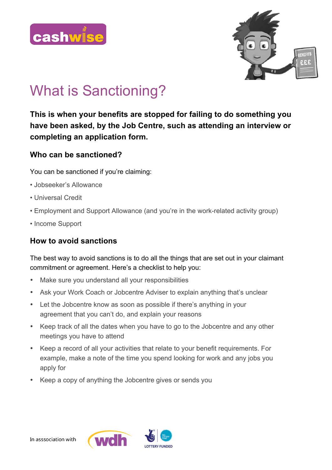



# What is Sanctioning?

**This is when your benefits are stopped for failing to do something you have been asked, by the Job Centre, such as attending an interview or completing an application form.** 

#### **Who can be sanctioned?**

You can be sanctioned if you're claiming:

- Jobseeker's Allowance
- Universal Credit
- Employment and Support Allowance (and you're in the work-related activity group)
- Income Support

# **How to avoid sanctions**

The best way to avoid sanctions is to do all the things that are set out in your claimant commitment or agreement. Here's a checklist to help you:

- Make sure you understand all your responsibilities
- Ask your Work Coach or Jobcentre Adviser to explain anything that's unclear
- Let the Jobcentre know as soon as possible if there's anything in your agreement that you can't do, and explain your reasons
- Keep track of all the dates when you have to go to the Jobcentre and any other meetings you have to attend
- Keep a record of all your activities that relate to your benefit requirements. For example, make a note of the time you spend looking for work and any jobs you apply for
- Keep a copy of anything the Jobcentre gives or sends you

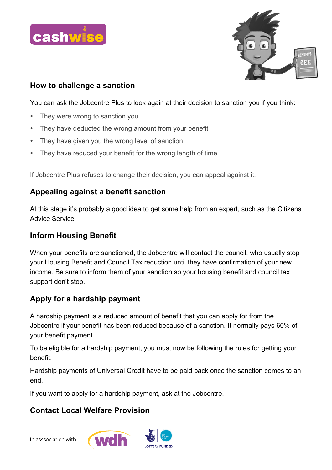



### **How to challenge a sanction**

You can ask the Jobcentre Plus to look again at their decision to sanction you if you think:

- They were wrong to sanction you
- They have deducted the wrong amount from your benefit
- They have given you the wrong level of sanction
- They have reduced your benefit for the wrong length of time

If Jobcentre Plus refuses to change their decision, you can appeal against it.

## **Appealing against a benefit sanction**

At this stage it's probably a good idea to get some help from an expert, such as the Citizens Advice Service

### **Inform Housing Benefit**

When your benefits are sanctioned, the Jobcentre will contact the council, who usually stop your Housing Benefit and Council Tax reduction until they have confirmation of your new income. Be sure to inform them of your sanction so your housing benefit and council tax support don't stop.

# **Apply for a hardship payment**

A hardship payment is a reduced amount of benefit that you can apply for from the Jobcentre if your benefit has been reduced because of a sanction. It normally pays 60% of your benefit payment.

To be eligible for a hardship payment, you must now be following the rules for getting your benefit.

Hardship payments of Universal Credit have to be paid back once the sanction comes to an end.

If you want to apply for a hardship payment, ask at the Jobcentre.

# **Contact Local Welfare Provision**